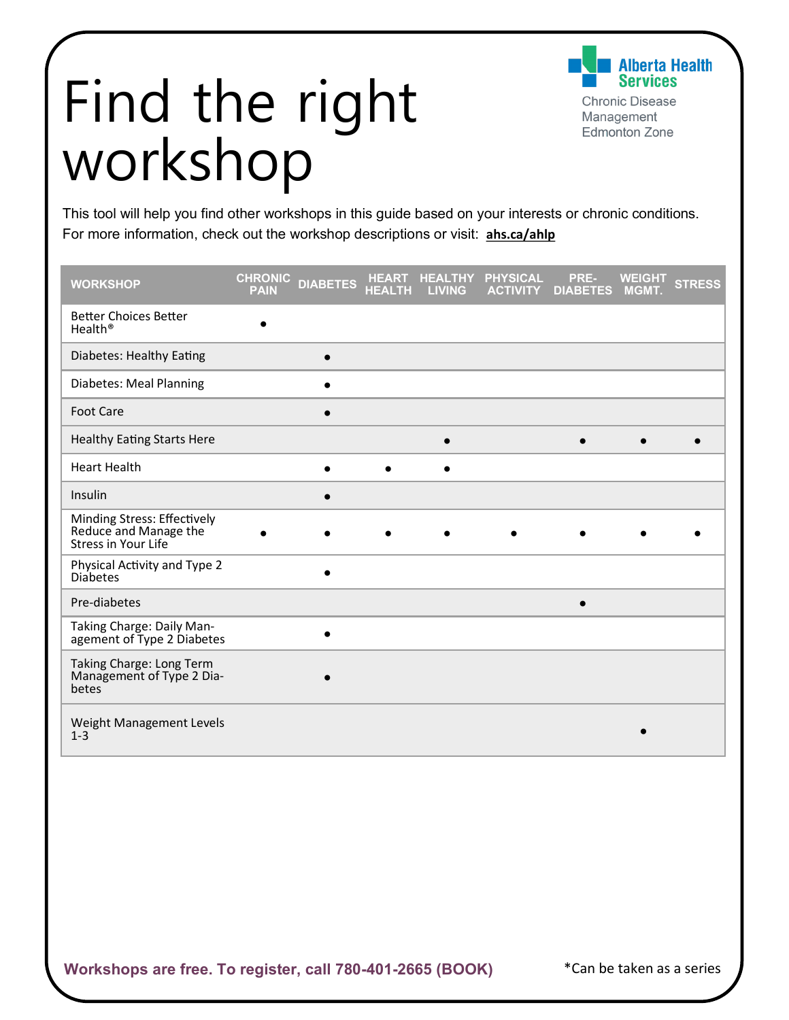## Find the right workshop

**Iberta Health Services** 

**Chronic Disease** Management **Edmonton Zone** 

This tool will help you find other workshops in this guide based on your interests or chronic conditions. For more information, check out the workshop descriptions or visit: **[ahs.ca/ahlp](http://www.ahs.ca/ahlp)**

| <b>WORKSHOP</b>                                                                    | <b>CHRONIC</b><br><b>PAIN</b> | <b>DIABETES</b> | <b>HEART</b><br><b>HEALTH</b> | <b>HEALTHY</b><br><b>LIVING</b> | <b>PHYSICAL</b><br><b>ACTIVITY</b> | PRE-<br><b>DIABETES</b> | <b>WEIGHT</b><br><b>MGMT.</b> | <b>STRESS</b> |
|------------------------------------------------------------------------------------|-------------------------------|-----------------|-------------------------------|---------------------------------|------------------------------------|-------------------------|-------------------------------|---------------|
| <b>Better Choices Better</b><br>Health <sup>®</sup>                                |                               |                 |                               |                                 |                                    |                         |                               |               |
| Diabetes: Healthy Eating                                                           |                               | $\bullet$       |                               |                                 |                                    |                         |                               |               |
| Diabetes: Meal Planning                                                            |                               |                 |                               |                                 |                                    |                         |                               |               |
| <b>Foot Care</b>                                                                   |                               |                 |                               |                                 |                                    |                         |                               |               |
| <b>Healthy Eating Starts Here</b>                                                  |                               |                 |                               | $\bullet$                       |                                    | $\bullet$               |                               |               |
| <b>Heart Health</b>                                                                |                               | $\bullet$       | $\bullet$                     | $\bullet$                       |                                    |                         |                               |               |
| Insulin                                                                            |                               |                 |                               |                                 |                                    |                         |                               |               |
| Minding Stress: Effectively<br>Reduce and Manage the<br><b>Stress in Your Life</b> |                               |                 |                               |                                 |                                    |                         |                               |               |
| Physical Activity and Type 2<br><b>Diabetes</b>                                    |                               |                 |                               |                                 |                                    |                         |                               |               |
| Pre-diabetes                                                                       |                               |                 |                               |                                 |                                    | $\bullet$               |                               |               |
| Taking Charge: Daily Man-<br>agement of Type 2 Diabetes                            |                               |                 |                               |                                 |                                    |                         |                               |               |
| Taking Charge: Long Term<br>Management of Type 2 Dia-<br>betes                     |                               |                 |                               |                                 |                                    |                         |                               |               |
| Weight Management Levels<br>$1 - 3$                                                |                               |                 |                               |                                 |                                    |                         |                               |               |

\*Can be taken as a series